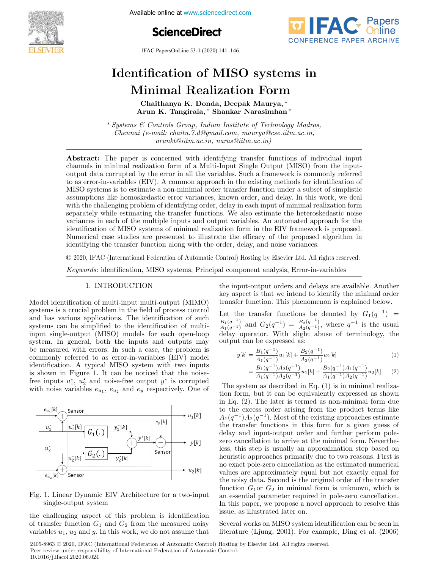

Available online at www.sciencedirect.com





IFAC PapersOnLine 53-1 (2020) 141–146

# Identification of MISO systems in Minimal Realization Form

Chaithanya K. Donda, Deepak Maurya, <sup>∗</sup> Arun K. Tangirala, <sup>∗</sup> Shankar Narasimhan <sup>∗</sup>

<sup>∗</sup> Systems & Controls Group, Indian Institute of Technology Madras, Chennai (e-mail: chaitu.7.d@gmail.com, maurya@cse.iitm.ac.in, arunkt@iitm.ac.in, naras@iitm.ac.in)

Abstract: The paper is concerned with identifying transfer functions of individual input channels in minimal realization form of a Multi-Input Single Output (MISO) from the inputoutput data corrupted by the error in all the variables. Such a framework is commonly referred to as error-in-variables (EIV). A common approach in the existing methods for identification of MISO systems is to estimate a non-minimal order transfer function under a subset of simplistic assumptions like homoskedastic error variances, known order, and delay. In this work, we deal with the challenging problem of identifying order, delay in each input of minimal realization form separately while estimating the transfer functions. We also estimate the heteroskedastic noise variances in each of the multiple inputs and output variables. An automated approach for the identification of MISO systems of minimal realization form in the EIV framework is proposed. Numerical case studies are presented to illustrate the efficacy of the proposed algorithm in identifying the transfer function along with the order, delay, and noise variances.

© 2020, IFAC (International Federation of Automatic Control) Hosting by Elsevier Ltd. All rights reserved.

Keywords: identification, MISO systems, Principal component analysis, Error-in-variables

# 1. INTRODUCTION

Model identification of multi-input multi-output (MIMO) systems is a crucial problem in the field of process control and has various applications. The identification of such systems can be simplified to the identification of multiinput single-output (MISO) models for each open-loop system. In general, both the inputs and outputs may be measured with errors. In such a case, the problem is commonly referred to as error-in-variables (EIV) model identification. A typical MISO system with two inputs is shown in Figure 1. It can be noticed that the noisefree inputs  $u_1^{\star}$ ,  $u_2^{\star}$  and noise-free output  $y^{\star}$  is corrupted with noise variables  $e_{u_1}, e_{u_2}$  and  $e_y$  respectively. One of



# Fig. 1. Linear Dynamic EIV Architecture for a two-input single-output system

the challenging aspect of this problem is identification of transfer function  $G_1$  and  $G_2$  from the measured noisy variables  $u_1, u_2$  and y. In this work, we do not assume that the input-output orders and delays are available. Another key aspect is that we intend to identify the minimal order transfer function. This phenomenon is explained below.

Let the transfer functions be denoted by  $G_1(q^{-1})$  =  $\frac{B_1(q^{-1})}{A_1(q^{-1})}$  and  $G_2(q^{-1}) = \frac{B_2(q^{-1})}{A_2(q^{-1})}$ , where  $q^{-1}$  is the usual delay operator. With slight abuse of terminology, the output can be expressed as:

$$
y[k] = \frac{B_1(q^{-1})}{A_1(q^{-1})}u_1[k] + \frac{B_2(q^{-1})}{A_2(q^{-1})}u_2[k]
$$
 (1)

$$
= \frac{B_1(q^{-1})A_2(q^{-1})}{A_1(q^{-1})A_2(q^{-1})}u_1[k] + \frac{B_2(q^{-1})A_1(q^{-1})}{A_1(q^{-1})A_2(q^{-1})}u_2[k] \qquad (2)
$$

The system as described in Eq. (1) is in minimal realization form, but it can be equivalently expressed as shown in Eq. (2). The later is termed as non-minimal form due to the excess order arising from the product terms like  $A_1(q^{-1})A_2(q^{-1})$ . Most of the existing approaches estimate the transfer functions in this form for a given guess of delay and input-output order and further perform polezero cancellation to arrive at the minimal form. Nevertheless, this step is usually an approximation step based on heuristic approaches primarily due to two reasons. First is no exact pole-zero cancellation as the estimated numerical values are approximately equal but not exactly equal for the noisy data. Second is the original order of the transfer function  $G_1$ or  $G_2$  in minimal form is unknown, which is an essential parameter required in pole-zero cancellation. In this paper, we propose a novel approach to resolve this issue, as illustrated later on.

Several works on MISO system identification can be seen in literature (Ljung, 2001). For example, Ding et al. (2006)

2405-8963 © 2020, IFAC (International Federation of Automatic Control) Hosting by Elsevier Ltd. All rights reserved. Peer review under responsibility of International Federation of Automatic Control. 10.1016/j.ifacol.2020.06.024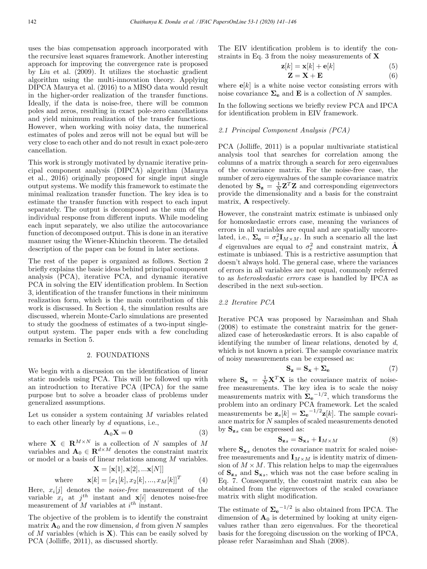uses the bias compensation approach incorporated with the recursive least squares framework. Another interesting approach for improving the convergence rate is proposed by Liu et al. (2009). It utilizes the stochastic gradient algorithm using the multi-innovation theory. Applying DIPCA Maurya et al. (2016) to a MISO data would result in the higher-order realization of the transfer functions. Ideally, if the data is noise-free, there will be common poles and zeros, resulting in exact pole-zero cancellations and yield minimum realization of the transfer functions. However, when working with noisy data, the numerical estimates of poles and zeros will not be equal but will be very close to each other and do not result in exact pole-zero cancellation.

This work is strongly motivated by dynamic iterative principal component analysis (DIPCA) algorithm (Maurya et al., 2016) originally proposed for single input single output systems. We modify this framework to estimate the minimal realization transfer function. The key idea is to estimate the transfer function with respect to each input separately. The output is decomposed as the sum of the individual response from different inputs. While modeling each input separately, we also utilize the autocovariance function of decomposed output. This is done in an iterative manner using the Wiener-Khinchin theorem. The detailed description of the paper can be found in later sections.

The rest of the paper is organized as follows. Section 2 briefly explains the basic ideas behind principal component analysis (PCA), iterative PCA, and dynamic iterative PCA in solving the EIV identification problem. In Section 3, identification of the transfer functions in their minimum realization form, which is the main contribution of this work is discussed. In Section 4, the simulation results are discussed, wherein Monte-Carlo simulations are presented to study the goodness of estimates of a two-input singleoutput system. The paper ends with a few concluding remarks in Section 5.

## 2. FOUNDATIONS

We begin with a discussion on the identification of linear static models using PCA. This will be followed up with an introduction to Iterative PCA (IPCA) for the same purpose but to solve a broader class of problems under generalized assumptions.

Let us consider a system containing  $M$  variables related to each other linearly by d equations, i.e.,

$$
\mathbf{A}_0 \mathbf{X} = \mathbf{0} \tag{3}
$$

where  $X \in \mathbb{R}^{M \times N}$  is a collection of N samples of M variables and  $\mathbf{A}_0 \in \mathbb{R}^{d \times M}$  denotes the constraint matrix or model or a basis of linear relations among  $M$  variables.  $\begin{bmatrix} 1 & 1 & -1 \\ 0 & x \end{bmatrix}$ 

$$
\mathbf{X} = [\mathbf{x}[1], \mathbf{x}[2], ... \mathbf{x}[N]]
$$

where 
$$
\mathbf{x}[k] = [x_1[k], x_2[k], ..., x_M[k]]^T
$$
 (4)

Here,  $x_i[j]$  denotes the *noise-free* measurement of the variable  $x_i$  at  $j^{th}$  instant and  $\mathbf{x}[i]$  denotes noise-free measurement of  $M$  variables at  $i^{th}$  instant.

The objective of the problem is to identify the constraint matrix  $\mathbf{A}_0$  and the row dimension, d from given N samples of M variables (which is  $X$ ). This can be easily solved by PCA (Jolliffe, 2011), as discussed shortly.

The EIV identification problem is to identify the constraints in Eq. 3 from the noisy measurements of  $X$ 

$$
\mathbf{z}[k] = \mathbf{x}[k] + \mathbf{e}[k] \tag{5}
$$

$$
\mathbf{Z} = \mathbf{X} + \mathbf{E} \tag{6}
$$

where  $e[k]$  is a white noise vector consisting errors with noise covariance  $\Sigma_e$  and **E** is a collection of N samples.

In the following sections we briefly review PCA and IPCA for identification problem in EIV framework.

# 2.1 Principal Component Analysis (PCA)

PCA (Jolliffe, 2011) is a popular multivariate statistical analysis tool that searches for correlation among the columns of a matrix through a search for zero eigenvalues of the covariance matrix. For the noise-free case, the number of zero eigenvalues of the sample covariance matrix denoted by  $S_z = \frac{1}{N} Z^T Z$  and corresponding eigenvectors provide the dimensionality and a basis for the constraint matrix, A respectively.

However, the constraint matrix estimate is unbiased only for homoskedastic errors case, meaning the variances of errors in all variables are equal and are spatially uncorrelated, i.e.,  $\Sigma_e = \sigma_e^2 \mathbf{I}_{M \times M}$ . In such a scenario all the last d eigenvalues are equal to  $\sigma_e^2$  and constraint matrix,  $\hat{\mathbf{A}}$ estimate is unbiased. This is a restrictive assumption that doesn't always hold. The general case, where the variances of errors in all variables are not equal, commonly referred to as heteroskedastic errors case is handled by IPCA as described in the next sub-section.

## 2.2 Iterative PCA

Iterative PCA was proposed by Narasimhan and Shah (2008) to estimate the constraint matrix for the generalized case of heteroskedastic errors. It is also capable of identifying the number of linear relations, denoted by  $d$ , which is not known a priori. The sample covariance matrix of noisy measurements can be expressed as:

$$
\mathbf{S}_{\mathbf{z}} = \mathbf{S}_{\mathbf{x}} + \boldsymbol{\Sigma}_{\mathbf{e}} \tag{7}
$$

where  $S_x = \frac{1}{N} X^T X$  is the covariance matrix of noisefree measurements. The key idea is to scale the noisy measurements matrix with  $\mathbf{\Sigma}_{\mathbf{e}}^{-1/2}$ , which transforms the problem into an ordinary PCA framework. Let the scaled measurements be  $\mathbf{z}_s[k] = \sum_{\mathbf{e}}^{-1/2} \mathbf{z}[k]$ . The sample covariance matrix for N samples of scaled measurements denoted by  $S_{z_s}$  can be expressed as:

$$
\mathbf{S}_{\mathbf{z}s} = \mathbf{S}_{\mathbf{x}s} + \mathbf{I}_{M \times M} \tag{8}
$$

where  $S_{x,s}$  denotes the covariance matrix for scaled noisefree measurements and  $\mathbf{I}_{M\times M}$  is identity matrix of dimension of  $M \times M$ . This relation helps to map the eigenvalues of  $S_{z,s}$  and  $S_{x,s}$ , which was not the case before scaling in Eq. 7. Consequently, the constraint matrix can also be obtained from the eigenvectors of the scaled covariance matrix with slight modification.

The estimate of  $\Sigma_e^{-1/2}$  is also obtained from IPCA. The dimension of  $A_0$  is determined by looking at unity eigenvalues rather than zero eigenvalues. For the theoretical basis for the foregoing discussion on the working of IPCA, please refer Narasimhan and Shah (2008).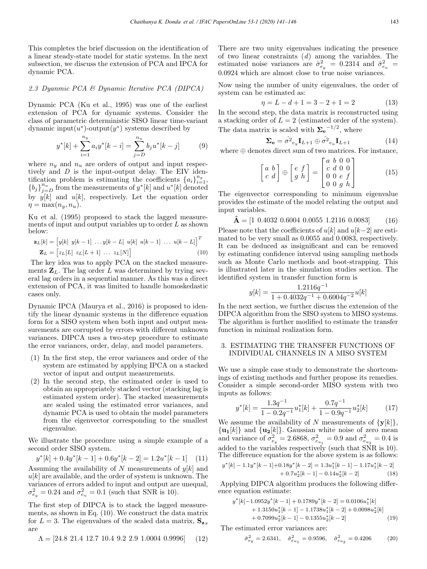This completes the brief discussion on the identification of a linear steady-state model for static systems. In the next subsection, we discuss the extension of PCA and IPCA for dynamic PCA.

## 2.3 Dyanmic PCA & Dynamic Iterative PCA (DIPCA)

Dynamic PCA (Ku et al., 1995) was one of the earliest extension of PCA for dynamic systems. Consider the class of parametric deterministic SISO linear time-variant dynamic input $(u^*)$ -output $(y^*)$  systems described by

$$
y^*[k] + \sum_{i=1}^{n_y} a_i y^*[k-i] = \sum_{j=D}^{n_u} b_j u^*[k-j]
$$
 (9)

where  $n_y$  and  $n_u$  are orders of output and input respectively and D is the input-output delay. The EIV identification problem is estimating the coefficients  ${a_i}_{i=1}^{n_y}$ ,  ${b_j}_{j=D}^{n_u}$  from the measurements of  $y^*[k]$  and  $u^*[k]$  denoted by  $y[k]$  and  $u[k]$ , respectively. Let the equation order  $\eta = \max(n_u, n_u).$ 

Ku et al. (1995) proposed to stack the lagged measurements of input and output variables up to order  $L$  as shown below:

$$
\mathbf{z}_L[k] = \begin{bmatrix} y[k] & y[k-1] & \dots & y[k-L] & u[k] & u[k-1] & \dots & u[k-L] \end{bmatrix}^T
$$
\n
$$
\mathbf{Z}_L = \begin{bmatrix} z_L[L] & z_L[L+1] & \dots & z_L[N] \end{bmatrix} \tag{10}
$$

The key idea was to apply PCA on the stacked measurements  $\mathbf{Z}_L$ . The lag order L was determined by trying several lag orders in a sequential manner. As this was a direct extension of PCA, it was limited to handle homoskedastic cases only.

Dynamic IPCA (Maurya et al., 2016) is proposed to identify the linear dynamic systems in the difference equation form for a SISO system when both input and output measurements are corrupted by errors with different unknown variances. DIPCA uses a two-step procedure to estimate the error variances, order, delay, and model parameters.

- (1) In the first step, the error variances and order of the system are estimated by applying IPCA on a stacked vector of input and output measurements.
- (2) In the second step, the estimated order is used to obtain an appropriately stacked vector (stacking lag is estimated system order). The stacked measurements are scaled using the estimated error variances, and dynamic PCA is used to obtain the model parameters from the eigenvector corresponding to the smallest eigenvalue.

We illustrate the procedure using a simple example of a second order SISO system.

 $y^*[k] + 0.4y^*[k-1] + 0.6y^*[k-2] = 1.2u^*[k-1]$  (11) Assuming the availability of N measurements of  $y[k]$  and  $u[k]$  are available, and the order of system is unknown. The variances of errors added to input and output are unequal,  $\sigma_{e_y}^2 = 0.24$  and  $\sigma_{e_u}^2 = 0.1$  (such that SNR is 10).

The first step of DIPCA is to stack the lagged measurements, as shown in Eq. (10). We construct the data matrix for  $L = 3$ . The eigenvalues of the scaled data matrix,  $S_{z}$ are

$$
\Lambda = [24.8 \ 21.4 \ 12.7 \ 10.4 \ 9.2 \ 2.9 \ 1.0004 \ 0.9996] \tag{12}
$$

There are two unity eigenvalues indicating the presence of two linear constraints  $(d)$  among the variables. The estimated noise variances are  $\hat{\sigma}_{e_y}^2 = 0.2314$  and  $\hat{\sigma}_{e_y}^2 = 0.2314$ 0.0924 which are almost close to true noise variances.

Now using the number of unity eigenvalues, the order of system can be estimated as:

$$
\eta = L - d + 1 = 3 - 2 + 1 = 2 \tag{13}
$$

In the second step, the data matrix is reconstructed using a stacking order of  $L = 2$  (estimated order of the system). The data matrix is scaled with  $\Sigma_e^{-1/2}$ , where

$$
\Sigma_e = \hat{\sigma^2}_{e_y} \mathbf{I}_{L+1} \oplus \hat{\sigma^2}_{e_u} \mathbf{I}_{L+1}
$$
 (14)

where  $\oplus$  denotes direct sum of two matrices. For instance,

$$
\begin{bmatrix} a & b \\ c & d \end{bmatrix} \oplus \begin{bmatrix} e & f \\ g & h \end{bmatrix} = \begin{bmatrix} a & b & 0 & 0 \\ c & d & 0 & 0 \\ 0 & 0 & e & f \\ 0 & 0 & g & h \end{bmatrix}
$$
(15)

The eigenvector corresponding to minimum eigenvalue provides the estimate of the model relating the output and input variables.

$$
\hat{\mathbf{A}} = [1 \ 0.4032 \ 0.6004 \ 0.0055 \ 1.2116 \ 0.0083] \tag{16}
$$

Please note that the coefficients of  $u[k]$  and  $u[k-2]$  are estimated to be very small as 0.0055 and 0.0083, respectively. It can be deduced as insignificant and can be removed by estimating confidence interval using sampling methods such as Monte Carlo methods and boot-strapping. This is illustrated later in the simulation studies section. The identified system in transfer function form is

$$
y[k] = \frac{1.2116q^{-1}}{1 + 0.4032q^{-1} + 0.6004q^{-2}}u[k]
$$

In the next section, we further discuss the extension of the DIPCA algorithm from the SISO system to MISO systems. The algorithm is further modified to estimate the transfer function in minimal realization form.

# 3. ESTIMATING THE TRANSFER FUNCTIONS OF INDIVIDUAL CHANNELS IN A MISO SYSTEM

We use a simple case study to demonstrate the shortcomings of existing methods and further propose its remedies. Consider a simple second-order MISO system with two inputs as follows:

$$
y^*[k] = \frac{1.3q^{-1}}{1 - 0.2q^{-1}}u_1^*[k] + \frac{0.7q^{-1}}{1 - 0.9q^{-1}}u_2^*[k] \tag{17}
$$

We assume the availability of N measurements of  $\{y[k]\},\$  $\{u_1[k]\}$  and  $\{u_2[k]\}$ . Gaussian white noise of zero mean and variance of  $\sigma_{e_y}^2 = 2.6868$ ,  $\sigma_{e_{u_1}}^2 = 0.9$  and  $\sigma_{e_{u_2}}^2 = 0.4$  is added to the variables respectively (such that SNR is 10). The difference equation for the above system is as follows:

$$
y^*[k] - 1.1y^*[k-1] + 0.18y^*[k-2] = 1.3u_1^*[k-1] - 1.17u_1^*[k-2] + 0.7u_2^*[k-1] - 0.14u_2^*[k-2]
$$
(18)

Applying DIPCA algorithm produces the following difference equation estimate:

$$
y^*[k]-1.0952y^*[k-1]+0.1789y^*[k-2]=0.0106u_1^*[k] +1.3150u_1^*[k-1]-1.1738u_1^*[k-2]+0.0098u_2^*[k] +0.7099u_2^*[k-1]-0.1355u_2^*[k-2]
$$
(19)

The estimated error variances are:

$$
\hat{\sigma}_{e_y}^2 = 2.6341, \quad \hat{\sigma}_{e_{u_1}}^2 = 0.9596, \quad \hat{\sigma}_{e_{u_2}}^2 = 0.4206 \tag{20}
$$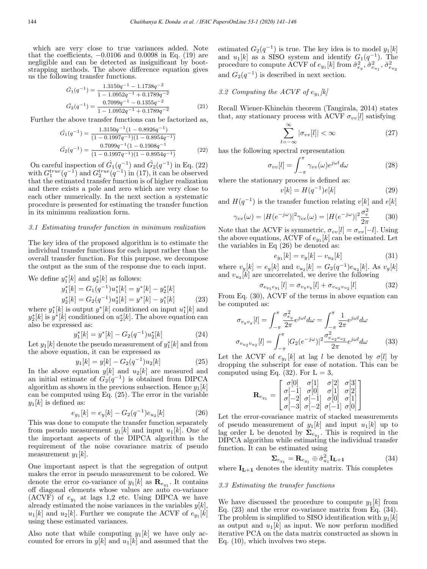which are very close to true variances added. Note that the coefficients,  $-0.0106$  and  $0.0098$  in Eq. (19) are negligible and can be detected as insignificant by bootstrapping methods. The above difference equation gives us the following transfer functions.

$$
\hat{G}_1(q^{-1}) = \frac{1.3150q^{-1} - 1.1738q^{-2}}{1 - 1.0952q^{-1} + 0.1789q^{-2}}
$$

$$
\hat{G}_2(q^{-1}) = \frac{0.7099q^{-1} - 0.1355q^{-2}}{1 - 1.0952q^{-1} + 0.1789q^{-2}}
$$
(21)

Further the above transfer functions can be factorized as,

$$
\hat{G}_1(q^{-1}) = \frac{1.3150q^{-1}(1 - 0.8926q^{-1})}{(1 - 0.1997q^{-1})(1 - 0.8954q^{-1})}
$$
\n
$$
\hat{G}_2(q^{-1}) = \frac{0.7099q^{-1}(1 - 0.1908q^{-1})}{(1 - 0.1997q^{-1})(1 - 0.8954q^{-1})}
$$
\n(22)

On careful inspection of  $\hat{G}_1(q^{-1})$  and  $\hat{G}_2(q^{-1})$  in Eq. (22) with  $G_1^{true}(q^{-1})$  and  $G_2^{true}(q^{-1})$  in (17), it can be observed that the estimated transfer function is of higher realization and there exists a pole and zero which are very close to each other numerically. In the next section a systematic procedure is presented for estimating the transfer function in its minimum realization form.

#### 3.1 Estimating transfer function in minimum realization

The key idea of the proposed algorithm is to estimate the individual transfer functions for each input rather than the overall transfer function. For this purpose, we decompose the output as the sum of the response due to each input.

We define 
$$
y_1^*[k]
$$
 and  $y_2^*[k]$  as follows:

 $\epsilon$ 

$$
y_1^*[k] = G_1(q^{-1})u_1^*[k] = y^*[k] - y_2^*[k] y_2^*[k] = G_2(q^{-1})u_2^*[k] = y^*[k] - y_1^*[k]
$$
 (23)

where  $y_1^*[k]$  is output  $y^*[k]$  conditioned on input  $u_1^*[k]$  and  $y_2^*[k]$  is  $y^*[k]$  conditioned on  $u_2^*[k]$ . The above equation can also be expressed as:

$$
y_1^*[k] = y^*[k] - G_2(q^{-1})u_2^*[k] \tag{24}
$$

Let  $y_1[k]$  denote the pseudo measurement of  $y_1^*[k]$  and from the above equation, it can be expressed as

$$
y_1[k] = y[k] - G_2(q^{-1})u_2[k] \tag{25}
$$

In the above equation  $y[k]$  and  $u_2[k]$  are measured and an initial estimate of  $G_2(q^{-1})$  is obtained from DIPCA algorithm as shown in the previous subsection. Hence  $y_1[k]$ can be computed using Eq. (25). The error in the variable  $y_1[k]$  is defined as:

$$
y_1[k] = e_y[k] - G_2(q^{-1})e_{u_2}[k] \tag{26}
$$

This was done to compute the transfer function separately from pseudo measurement  $y_1[k]$  and input  $u_1[k]$ . One of the important aspects of the DIPCA algorithm is the requirement of the noise covariance matrix of pseudo measurement  $y_1[k]$ .

One important aspect is that the segregation of output makes the error in pseudo measurement to be colored. We denote the error co-variance of  $y_1[k]$  as  $\mathbf{R}_{e_{y_1}}$ . It contains off diagonal elements whose values are auto co-variance (ACVF) of  $e_{y_1}$  at lags 1,2 etc. Using DIPCA we have already estimated the noise variances in the variables  $y[k]$ ,  $u_1[k]$  and  $u_2[k]$ . Further we compute the ACVF of  $e_{y_1}[k]$ using these estimated variances.

Also note that while computing  $y_1[k]$  we have only accounted for errors in  $y[k]$  and  $u_1[k]$  and assumed that the estimated  $G_2(q^{-1})$  is true. The key idea is to model  $y_1[k]$ and  $u_1[k]$  as a SISO system and identify  $G_1(q^{-1})$ . The procedure to compute ACVF of  $e_{y_1}[k]$  from  $\hat{\sigma}^2_{e_y}, \hat{\sigma}^2_{e_{u_1}}, \hat{\sigma}^2_{e_{u_2}}$ and  $G_2(q^{-1})$  is described in next section.

3.2 Computing the ACVF of  $e_{y_1}$ [k]

Recall Wiener-Khinchin theorem (Tangirala, 2014) states that, any stationary process with ACVF  $\sigma_{vv}[l]$  satisfying

$$
\sum_{l=-\infty}^{\infty} |\sigma_{vv}[l]| < \infty \tag{27}
$$

has the following spectral representation

$$
\sigma_{vv}[l] = \int_{-\pi}^{\pi} \gamma_{vv}(\omega) e^{j\omega l} d\omega \qquad (28)
$$

where the stationary process is defined as:

$$
v[k] = H(q^{-1})e[k] \tag{29}
$$

and  $H(q^{-1})$  is the transfer function relating  $v[k]$  and  $e[k]$ 

$$
\gamma_{vv}(\omega) = |H(e^{-j\omega})|^2 \gamma_{ee}(\omega) = |H(e^{-j\omega})|^2 \frac{\sigma_e^2}{2\pi}
$$
 (30)

Note that the ACVF is symmetric,  $\sigma_{vv}[l] = \sigma_{vv}[-l]$ . Using the above equations, ACVF of  $e_{y_1}[k]$  can be estimated. Let the variables in Eq (26) be denoted as:

$$
e_{y_1}[k] = v_y[k] - v_{u_2}[k] \tag{31}
$$

where  $v_y[k] = e_y[k]$  and  $v_{u_2}[k] = G_2(q^{-1})e_{u_2}[k]$ . As  $v_y[k]$ and  $v_{u_2}[k]$  are uncorrelated, we derive the following

$$
\sigma_{e_{y_1}e_{y_1}}[l] = \sigma_{v_yv_y}[l] + \sigma_{v_{u_2}v_{u_2}}[l] \tag{32}
$$

From Eq. (30), ACVF of the terms in above equation can be computed as:

$$
\sigma_{v_y v_y}[l] = \int_{-\pi}^{\pi} \frac{\sigma_{e_y}^2}{2\pi} e^{j\omega l} d\omega = \int_{-\pi}^{\pi} \frac{1}{2\pi} e^{j\omega l} d\omega
$$

$$
\sigma_{v_{u_2} v_{u_2}}[l] = \int_{-\pi}^{\pi} |G_2(e^{-j\omega})|^2 \frac{\sigma_{e_{u_2} e_{u_2}}^2}{2\pi} e^{j\omega l} d\omega \qquad (33)
$$

Let the ACVF of  $e_{y_1}[k]$  at lag l be denoted by  $\sigma[l]$  by dropping the subscript for ease of notation. This can be computed using Eq.  $(32)$ . For  $L = 3$ ,

$$
\mathbf{R}_{e_{y_1}} = \begin{bmatrix} \sigma[0] & \sigma[1] & \sigma[2] & \sigma[3] \\ \sigma[-1] & \sigma[0] & \sigma[1] & \sigma[2] \\ \sigma[-2] & \sigma[-1] & \sigma[0] & \sigma[1] \\ \sigma[-3] & \sigma[-2] & \sigma[-1] & \sigma[0] \end{bmatrix}
$$

Let the error-covariance matrix of stacked measurements of pseudo measurement of  $y_1[k]$  and input  $u_1[k]$  up to lag order L be denoted by  $\Sigma_{e_{y_1}}$ . This is required in the DIPCA algorithm while estimating the individual transfer function. It can be estimated using

$$
\Sigma_{e_{y_1}} = \mathbf{R}_{e_{y_1}} \oplus \hat{\sigma}_{u_1}^2 \mathbf{I}_{L+1}
$$
 (34)

where  $\mathbf{I}_{L+1}$  denotes the identity matrix. This completes

## 3.3 Estimating the transfer functions

We have discussed the procedure to compute  $y_1[k]$  from Eq. (23) and the error co-variance matrix from Eq. (34). The problem is simplified to SISO identification with  $y_1[k]$ as output and  $u_1[k]$  as input. We now perform modified iterative PCA on the data matrix constructed as shown in Eq. (10), which involves two steps.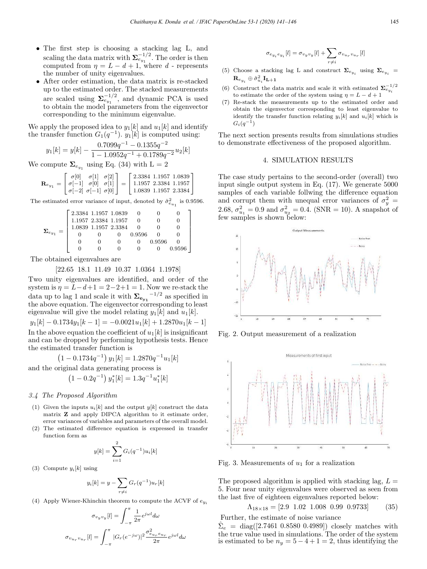- The first step is choosing a stacking lag L, and scaling the data matrix with  $\Sigma_{e_{y_1}}^{-1/2}$ . The order is then computed from  $\eta = L - d + 1$ , where d - represents the number of unity eigenvalues.
- After order estimation, the data matrix is re-stacked up to the estimated order. The stacked measurements are scaled using  $\Sigma_{e_{y_1}}^{-1/2}$ , and dynamic PCA is used to obtain the model parameters from the eigenvector corresponding to the minimum eigenvalue.

We apply the proposed idea to  $y_1[k]$  and  $u_1[k]$  and identify the transfer function  $G_1(q^{-1})$ .  $y_1[k]$  is computed using:

$$
y_1[k] = y[k] - \frac{0.7099q^{-1} - 0.1355q^{-2}}{1 - 1.0952q^{-1} + 0.1789q^{-2}}u_2[k]
$$

We compute  $\Sigma_{e_{y_1}}$  using Eq. (34) with L = 2

$$
\mathbf{R}_{e_{y1}} = \begin{bmatrix} \sigma[0] & \sigma[1] & \sigma[2] \\ \sigma[-1] & \sigma[0] & \sigma[1] \\ \sigma[-2] & \sigma[-1] & \sigma[0] \end{bmatrix} = \begin{bmatrix} 2.3384 & 1.1957 & 1.0839 \\ 1.1957 & 2.3384 & 1.1957 \\ 1.0839 & 1.1957 & 2.3384 \end{bmatrix}
$$

The estimated error variance of input, denoted by  $\hat{\sigma}^2_{e_{u_1}}$  is 0.9596.

$$
\pmb{\Sigma}_{e_{y_1}} = \left[\begin{array}{cccccc} 2.3384 & 1.1957 & 1.0839 & 0 & 0 & 0 \\ 1.1957 & 2.3384 & 1.1957 & 0 & 0 & 0 \\ 1.0839 & 1.1957 & 2.3384 & 0 & 0 & 0 \\ 0 & 0 & 0 & 0.9596 & 0 & 0 \\ 0 & 0 & 0 & 0 & 0.9596 & 0 \\ 0 & 0 & 0 & 0 & 0 & 0.9596 \end{array}\right]
$$

The obtained eigenvalues are

# [22.65 18.1 11.49 10.37 1.0364 1.1978]

Two unity eigenvalues are identified, and order of the system is  $\eta = \tilde{L} - d + 1 = 2 - 2 + 1 = 1$ . Now we re-stack the data up to lag 1 and scale it with  $\sum_{e_{y_1}}$ <sup>-1/2</sup> as specified in the above equation. The eigenvector corresponding to least eigenvalue will give the model relating  $y_1[k]$  and  $u_1[k]$ .

 $y_1[k] - 0.1734y_1[k-1] = -0.0021u_1[k] + 1.2870u_1[k-1]$ In the above equation the coefficient of  $u_1[k]$  is insignificant and can be dropped by performing hypothesis tests. Hence the estimated transfer function is

$$
(1 - 0.1734q^{-1}) y_1[k] = 1.2870q^{-1}u_1[k]
$$

and the original data generating process is

$$
\left(1 - 0.2q^{-1}\right)y_1^*[k] = 1.3q^{-1}u_1^*[k]
$$

# 3.4 The Proposed Algorithm

- (1) Given the inputs  $u_i[k]$  and the output  $y[k]$  construct the data matrix Z and apply DIPCA algorithm to it estimate order, error variances of variables and parameters of the overall model.
- The estimated difference equation is expressed in transfer function form as

$$
y[k] = \sum_{i=1}^{2} G_i(q^{-1}) u_i[k]
$$

(3) Compute  $y_i[k]$  using

 $\sigma_i$ 

$$
y_i[k] = y - \sum_{r \neq i} G_r(q^{-1}) u_r[k]
$$

(4) Apply Wiener-Khinchin theorem to compute the ACVF of  $e_{y_i}$ 

$$
\sigma_{v_y v_y}[l] = \int_{-\pi}^{\pi} \frac{1}{2\pi} e^{j\omega l} d\omega
$$

$$
u_r v_{u_r}[l] = \int_{-\pi}^{\pi} |G_r(e^{-j\omega})|^2 \frac{\sigma_{e_{u_r} e_{u_r}}^2}{2\pi} e^{j\omega l} d\omega
$$

$$
\sigma_{e_{y_i}e_{y_i}}[l] = \sigma_{v_yv_y}[l] + \sum_{r \neq i} \sigma_{v_{u_r}v_{u_r}}[l]
$$

- (5) Choose a stacking lag L and construct  $\pmb{\Sigma}_{e_{y_i}}$  using  $\pmb{\Sigma}_{e_{y_i}}$  =  $\mathbf{R}_{e_{y_i}}\oplus \hat{\sigma}_{u_i}^2\mathbf{I_{L+1}}$
- (6) Construct the data matrix and scale it with estimated  $\sum_{e_{y_i}}^{-1/2}$ to estimate the order of the system using  $\eta = L - d + 1$
- Re-stack the measurements up to the estimated order and obtain the eigenvector corresponding to least eigenvalue to identify the transfer function relating  $y_i[k]$  and  $u_i[k]$  which is  $G_i(q^{-1})$

The next section presents results from simulations studies to demonstrate effectiveness of the proposed algorithm.

# 4. SIMULATION RESULTS

The case study pertains to the second-order (overall) two input single output system in Eq. (17). We generate 5000 samples of each variable follwing the difference equation and corrupt them with unequal error variances of  $\sigma_y^2 =$ 2.68,  $\sigma_{u_1}^2 = 0.9$  and  $\sigma_{u_2}^2 = 0.4$ . (SNR = 10). A snapshot of few samples is shown below:



Fig. 2. Output measurement of a realization



Fig. 3. Measurements of  $u_1$  for a realization

The proposed algorithm is applied with stacking lag,  $L =$ 5. Four near unity eigenvalues were observed as seen from the last five of eighteen eigenvalues reported below:

$$
\Lambda_{18 \times 18} = [2.9 \ 1.02 \ 1.008 \ 0.99 \ 0.9733] \tag{35}
$$

Further, the estimate of noise variance

 $\hat{\Sigma}_e = \text{diag}([2.7461 \ 0.8580 \ 0.4989])$  closely matches with the true value used in simulations. The order of the system is estimated to be  $n_y = 5 - 4 + 1 = 2$ , thus identifying the